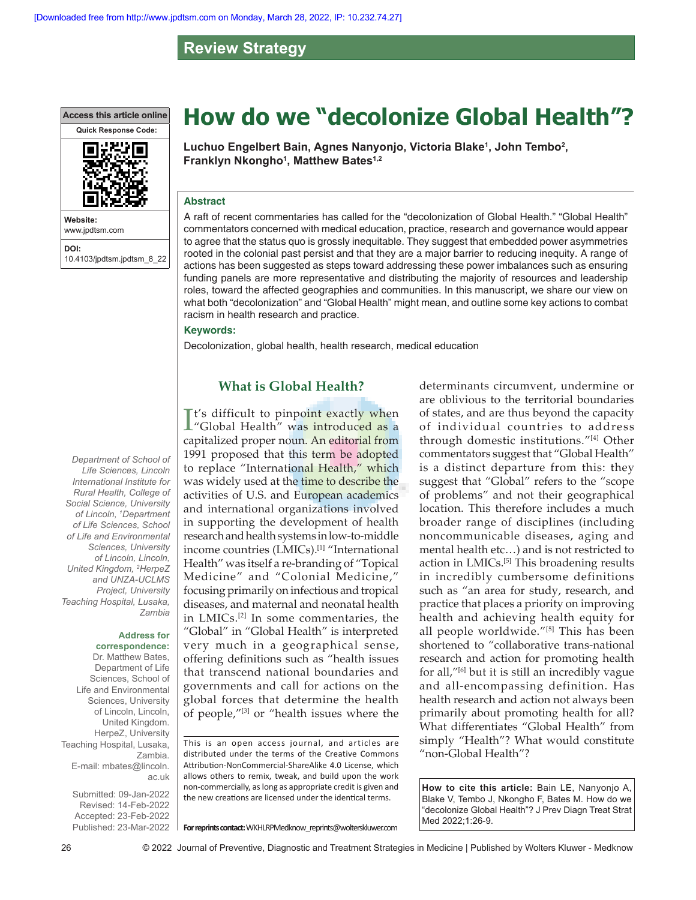**Review Strategy**

**Access this article online**



**Website:** www.jpdtsm.com **DOI:** 10.4103/jpdtsm.jpdtsm\_8\_22 **How do we "decolonize Global Health"?**

**Luchuo Engelbert Bain, Agnes Nanyonjo, Victoria Blake1 , John Tembo2 , Franklyn Nkongho1 , Matthew Bates1,2**

### **Abstract**

A raft of recent commentaries has called for the "decolonization of Global Health." "Global Health" commentators concerned with medical education, practice, research and governance would appear to agree that the status quo is grossly inequitable. They suggest that embedded power asymmetries rooted in the colonial past persist and that they are a major barrier to reducing inequity. A range of actions has been suggested as steps toward addressing these power imbalances such as ensuring funding panels are more representative and distributing the majority of resources and leadership roles, toward the affected geographies and communities. In this manuscript, we share our view on what both "decolonization" and "Global Health" might mean, and outline some key actions to combat racism in health research and practice.

### **Keywords:**

Decolonization, global health, health research, medical education

## **What is Global Health?**

It's difficult to pinpoint exactly when<br>"Global Health" was introduced as a **T**t's difficult to pinpoint exactly when capitalized proper noun. An editorial from 1991 proposed that this term be adopted to replace "International Health," which was widely used at the time to describe the activities of U.S. and European academics and international organizations involved in supporting the development of health research and health systems in low-to-middle income countries (LMICs).<sup>[1]</sup> "International Health" was itself a re‑branding of "Topical Medicine" and "Colonial Medicine," focusing primarily on infectious and tropical diseases, and maternal and neonatal health in LMICs.[2] In some commentaries, the "Global" in "Global Health" is interpreted very much in a geographical sense, offering definitions such as "health issues that transcend national boundaries and governments and call for actions on the global forces that determine the health of people,"[3] or "health issues where the

This is an open access journal, and articles are distributed under the terms of the Creative Commons Attribution‑NonCommercial‑ShareAlike 4.0 License, which allows others to remix, tweak, and build upon the work non‑commercially, as long as appropriate credit is given and the new creations are licensed under the identical terms.

determinants circumvent, undermine or are oblivious to the territorial boundaries of states, and are thus beyond the capacity of individual countries to address through domestic institutions."[4] Other commentators suggest that "Global Health" is a distinct departure from this: they suggest that "Global" refers to the "scope of problems" and not their geographical location. This therefore includes a much broader range of disciplines (including noncommunicable diseases, aging and mental health etc…) and is not restricted to action in LMICs.<sup>[5]</sup> This broadening results in incredibly cumbersome definitions such as "an area for study, research, and practice that places a priority on improving health and achieving health equity for all people worldwide."<sup>[5]</sup> This has been shortened to "collaborative trans-national research and action for promoting health for all,"[6] but it is still an incredibly vague and all‑encompassing definition. Has health research and action not always been primarily about promoting health for all? What differentiates "Global Health" from simply "Health"? What would constitute "non‑Global Health"?

**How to cite this article:** Bain LE, Nanyonjo A, Blake V, Tembo J, Nkongho F, Bates M. How do we "decolonize Global Health"? J Prev Diagn Treat Strat Med 2022;1:26-9.

*Life Sciences, Lincoln International Institute for Rural Health, College of Social Science, University of Lincoln, 1 Department of Life Sciences, School of Life and Environmental Sciences, University of Lincoln, Lincoln, United Kingdom, 2 HerpeZ and UNZA-UCLMS Project, University Teaching Hospital, Lusaka, Zambia*

*Department of School of* 

#### **Address for correspondence:**

Dr. Matthew Bates, Department of Life Sciences, School of Life and Environmental Sciences, University of Lincoln, Lincoln, United Kingdom. HerpeZ, University Teaching Hospital, Lusaka, Zambia. E-mail: mbates@lincoln. ac.uk

Submitted: 09-Jan-2022 Revised: 14-Feb-2022 Accepted: 23-Feb-2022 Published: 23-Mar-2022

**For reprints contact:** WKHLRPMedknow\_reprints@wolterskluwer.com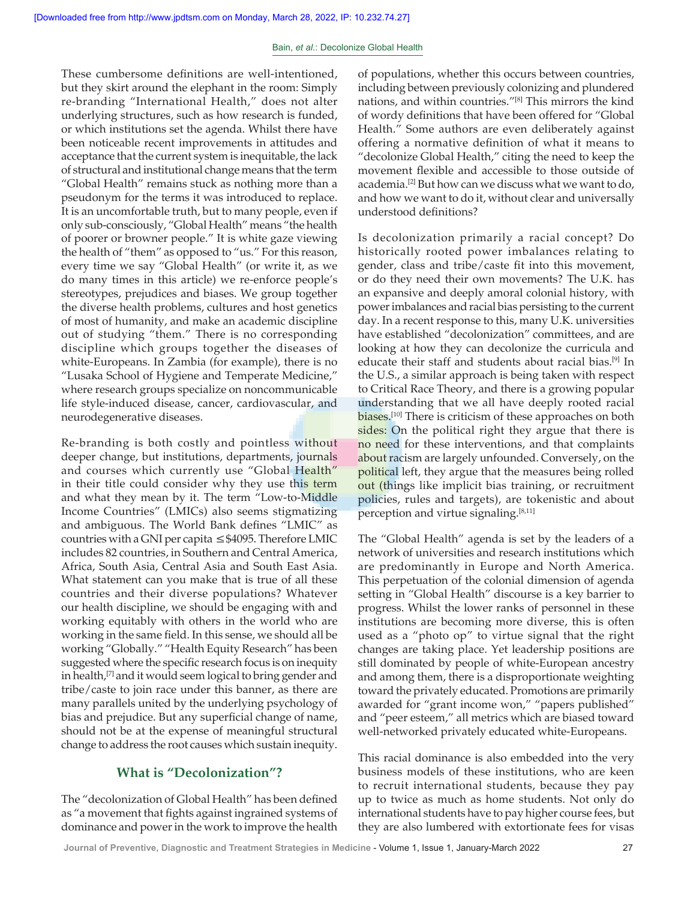These cumbersome definitions are well-intentioned, but they skirt around the elephant in the room: Simply re‑branding "International Health," does not alter underlying structures, such as how research is funded, or which institutions set the agenda. Whilst there have been noticeable recent improvements in attitudes and acceptance that the current system is inequitable, the lack of structural and institutional change means that the term "Global Health" remains stuck as nothing more than a pseudonym for the terms it was introduced to replace. It is an uncomfortable truth, but to many people, even if only sub‑consciously, "Global Health" means "the health of poorer or browner people." It is white gaze viewing the health of "them" as opposed to "us." For this reason, every time we say "Global Health" (or write it, as we do many times in this article) we re-enforce people's stereotypes, prejudices and biases. We group together the diverse health problems, cultures and host genetics of most of humanity, and make an academic discipline out of studying "them." There is no corresponding discipline which groups together the diseases of white-Europeans. In Zambia (for example), there is no "Lusaka School of Hygiene and Temperate Medicine," where research groups specialize on noncommunicable life style-induced disease, cancer, cardiovascular, and neurodegenerative diseases.

Re‑branding is both costly and pointless without deeper change, but institutions, departments, journals and courses which currently use "Global Health" in their title could consider why they use this term and what they mean by it. The term "Low-to-Middle Income Countries" (LMICs) also seems stigmatizing and ambiguous. The World Bank defines "LMIC" as countries with a GNI per capita ≤\$4095. Therefore LMIC includes 82 countries, in Southern and Central America, Africa, South Asia, Central Asia and South East Asia. What statement can you make that is true of all these countries and their diverse populations? Whatever our health discipline, we should be engaging with and working equitably with others in the world who are working in the same field. In this sense, we should all be working "Globally." "Health Equity Research" has been suggested where the specific research focus is on inequity in health,<sup>[7]</sup> and it would seem logical to bring gender and tribe/caste to join race under this banner, as there are many parallels united by the underlying psychology of bias and prejudice. But any superficial change of name, should not be at the expense of meaningful structural change to address the root causes which sustain inequity.

# **What is "Decolonization"?**

The "decolonization of Global Health" has been defined as "a movement that fights against ingrained systems of dominance and power in the work to improve the health of populations, whether this occurs between countries, including between previously colonizing and plundered nations, and within countries."[8] This mirrors the kind of wordy definitions that have been offered for "Global Health." Some authors are even deliberately against offering a normative definition of what it means to "decolonize Global Health," citing the need to keep the movement flexible and accessible to those outside of academia.[2] But how can we discuss what we want to do, and how we want to do it, without clear and universally understood definitions?

Is decolonization primarily a racial concept? Do historically rooted power imbalances relating to gender, class and tribe/caste fit into this movement, or do they need their own movements? The U.K. has an expansive and deeply amoral colonial history, with power imbalances and racial bias persisting to the current day. In a recent response to this, many U.K. universities have established "decolonization" committees, and are looking at how they can decolonize the curricula and educate their staff and students about racial bias.[9] In the U.S., a similar approach is being taken with respect to Critical Race Theory, and there is a growing popular understanding that we all have deeply rooted racial biases.<sup>[10]</sup> There is criticism of these approaches on both sides: On the political right they argue that there is no need for these interventions, and that complaints about racism are largely unfounded. Conversely, on the political left, they argue that the measures being rolled out (things like implicit bias training, or recruitment policies, rules and targets), are tokenistic and about perception and virtue signaling.[8,11]

The "Global Health" agenda is set by the leaders of a network of universities and research institutions which are predominantly in Europe and North America. This perpetuation of the colonial dimension of agenda setting in "Global Health" discourse is a key barrier to progress. Whilst the lower ranks of personnel in these institutions are becoming more diverse, this is often used as a "photo op" to virtue signal that the right changes are taking place. Yet leadership positions are still dominated by people of white-European ancestry and among them, there is a disproportionate weighting toward the privately educated. Promotions are primarily awarded for "grant income won," "papers published" and "peer esteem," all metrics which are biased toward well-networked privately educated white-Europeans.

This racial dominance is also embedded into the very business models of these institutions, who are keen to recruit international students, because they pay up to twice as much as home students. Not only do international students have to pay higher course fees, but they are also lumbered with extortionate fees for visas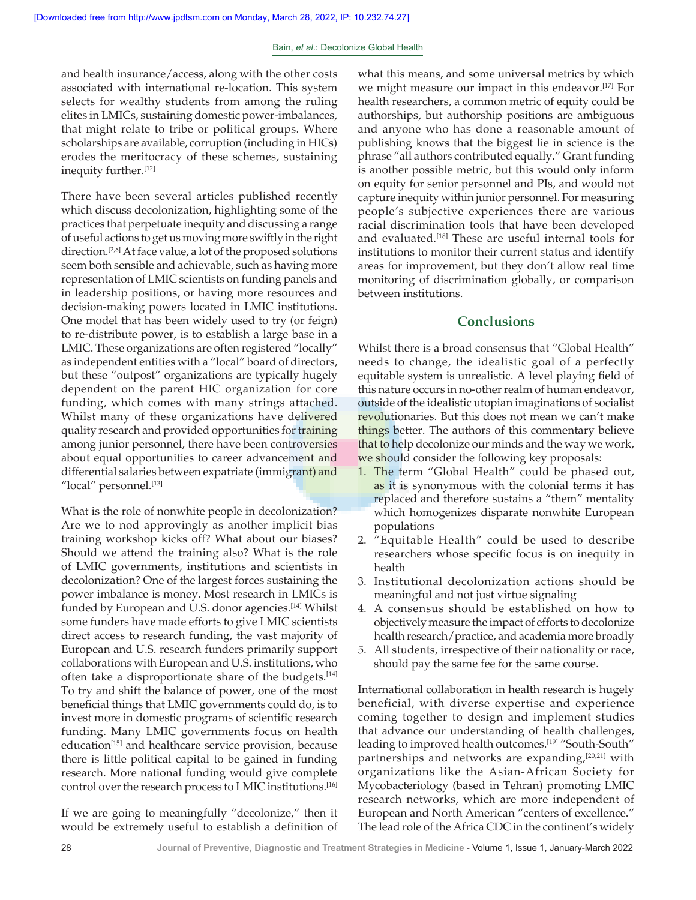and health insurance/access, along with the other costs associated with international re‑location. This system selects for wealthy students from among the ruling elites in LMICs, sustaining domestic power-imbalances, that might relate to tribe or political groups. Where scholarships are available, corruption (including in HICs) erodes the meritocracy of these schemes, sustaining inequity further.[12]

There have been several articles published recently which discuss decolonization, highlighting some of the practices that perpetuate inequity and discussing a range of useful actions to get us moving more swiftly in the right direction.<sup>[2,8]</sup> At face value, a lot of the proposed solutions seem both sensible and achievable, such as having more representation of LMIC scientists on funding panels and in leadership positions, or having more resources and decision‑making powers located in LMIC institutions. One model that has been widely used to try (or feign) to re‑distribute power, is to establish a large base in a LMIC. These organizations are often registered "locally" as independent entities with a "local" board of directors, but these "outpost" organizations are typically hugely dependent on the parent HIC organization for core funding, which comes with many strings attached. Whilst many of these organizations have delivered quality research and provided opportunities for training among junior personnel, there have been controversies about equal opportunities to career advancement and differential salaries between expatriate (immigrant) and "local" personnel.<sup>[13]</sup>

What is the role of nonwhite people in decolonization? Are we to nod approvingly as another implicit bias training workshop kicks off? What about our biases? Should we attend the training also? What is the role of LMIC governments, institutions and scientists in decolonization? One of the largest forces sustaining the power imbalance is money. Most research in LMICs is funded by European and U.S. donor agencies.<sup>[14]</sup> Whilst some funders have made efforts to give LMIC scientists direct access to research funding, the vast majority of European and U.S. research funders primarily support collaborations with European and U.S. institutions, who often take a disproportionate share of the budgets.<sup>[14]</sup> To try and shift the balance of power, one of the most beneficial things that LMIC governments could do, is to invest more in domestic programs of scientific research funding. Many LMIC governments focus on health education<sup>[15]</sup> and healthcare service provision, because there is little political capital to be gained in funding research. More national funding would give complete control over the research process to LMIC institutions.[16]

If we are going to meaningfully "decolonize," then it would be extremely useful to establish a definition of what this means, and some universal metrics by which we might measure our impact in this endeavor.[17] For health researchers, a common metric of equity could be authorships, but authorship positions are ambiguous and anyone who has done a reasonable amount of publishing knows that the biggest lie in science is the phrase "all authors contributed equally." Grant funding is another possible metric, but this would only inform on equity for senior personnel and PIs, and would not capture inequity within junior personnel. For measuring people's subjective experiences there are various racial discrimination tools that have been developed and evaluated.<sup>[18]</sup> These are useful internal tools for institutions to monitor their current status and identify areas for improvement, but they don't allow real time monitoring of discrimination globally, or comparison between institutions.

# **Conclusions**

Whilst there is a broad consensus that "Global Health" needs to change, the idealistic goal of a perfectly equitable system is unrealistic. A level playing field of this nature occurs in no‑other realm of human endeavor, outside of the idealistic utopian imaginations of socialist revolutionaries. But this does not mean we can't make things better. The authors of this commentary believe that to help decolonize our minds and the way we work, we should consider the following key proposals:

- 1. The term "Global Health" could be phased out, as it is synonymous with the colonial terms it has replaced and therefore sustains a "them" mentality which homogenizes disparate nonwhite European populations
- 2. "Equitable Health" could be used to describe researchers whose specific focus is on inequity in health
- 3. Institutional decolonization actions should be meaningful and not just virtue signaling
- 4. A consensus should be established on how to objectively measure the impact of efforts to decolonize health research/practice, and academia more broadly
- 5. All students, irrespective of their nationality or race, should pay the same fee for the same course.

International collaboration in health research is hugely beneficial, with diverse expertise and experience coming together to design and implement studies that advance our understanding of health challenges, leading to improved health outcomes.<sup>[19]</sup> "South-South" partnerships and networks are expanding, [20,21] with organizations like the Asian‑African Society for Mycobacteriology (based in Tehran) promoting LMIC research networks, which are more independent of European and North American "centers of excellence." The lead role of the Africa CDC in the continent's widely